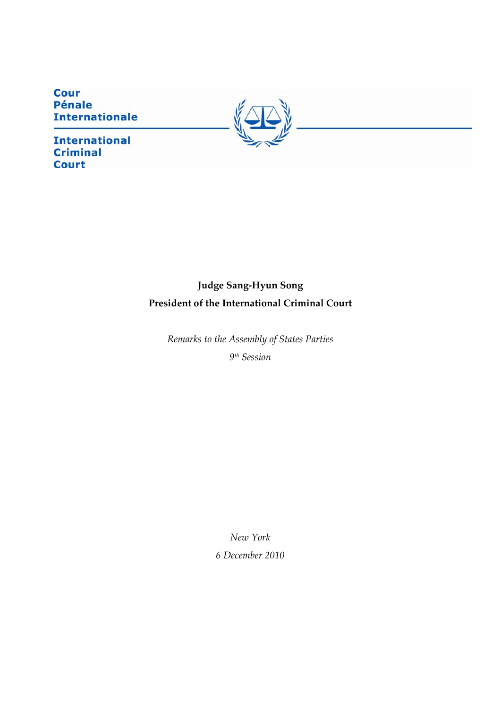**Cour Pénale Internationale** 

**International Criminal Court** 



# **Judge Sang‐Hyun Song President of the International Criminal Court**

*Remarks to the Assembly of States Parties 9th Session*

*New York*

*6 December 2010*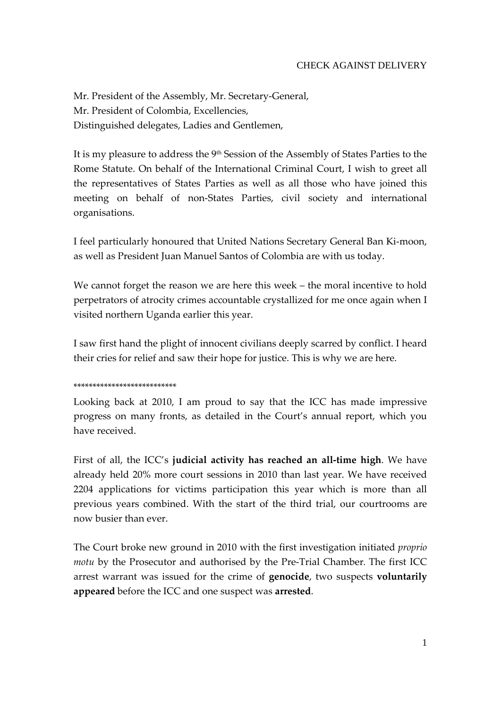Mr. President of the Assembly, Mr. Secretary‐General, Mr. President of Colombia, Excellencies, Distinguished delegates, Ladies and Gentlemen,

It is my pleasure to address the 9th Session of the Assembly of States Parties to the Rome Statute. On behalf of the International Criminal Court, I wish to greet all the representatives of States Parties as well as all those who have joined this meeting on behalf of non‐States Parties, civil society and international organisations.

I feel particularly honoured that United Nations Secretary General Ban Ki‐moon, as well as President Juan Manuel Santos of Colombia are with us today.

We cannot forget the reason we are here this week – the moral incentive to hold perpetrators of atrocity crimes accountable crystallized for me once again when I visited northern Uganda earlier this year.

I saw first hand the plight of innocent civilians deeply scarred by conflict. I heard their cries for relief and saw their hope for justice. This is why we are here.

#### \*\*\*\*\*\*\*\*\*\*\*\*\*\*\*\*\*\*\*\*\*\*\*\*\*\*\*

Looking back at 2010, I am proud to say that the ICC has made impressive progress on many fronts, as detailed in the Court's annual report, which you have received.

First of all, the ICC's **judicial activity has reached an all‐time high**. We have already held 20% more court sessions in 2010 than last year. We have received 2204 applications for victims participation this year which is more than all previous years combined. With the start of the third trial, our courtrooms are now busier than ever.

The Court broke new ground in 2010 with the first investigation initiated *proprio motu* by the Prosecutor and authorised by the Pre‐Trial Chamber*.* The first ICC arrest warrant was issued for the crime of **genocide**, two suspects **voluntarily appeared** before the ICC and one suspect was **arrested**.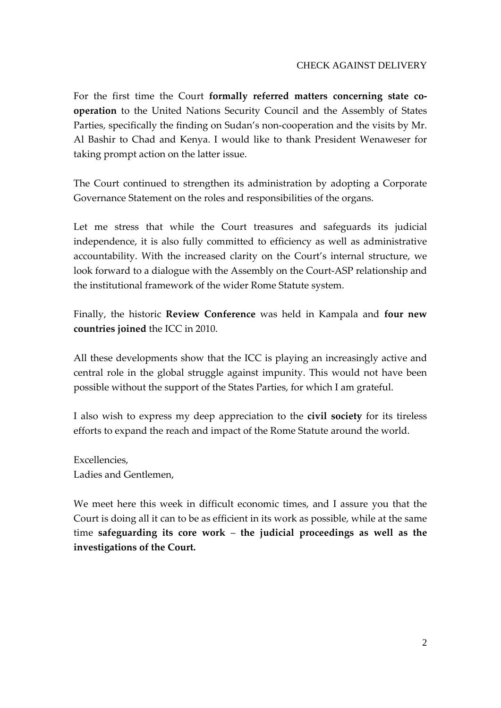### CHECK AGAINST DELIVERY

For the first time the Court **formally referred matters concerning state co‐ operation** to the United Nations Security Council and the Assembly of States Parties, specifically the finding on Sudan's non‐cooperation and the visits by Mr. Al Bashir to Chad and Kenya. I would like to thank President Wenaweser for taking prompt action on the latter issue.

The Court continued to strengthen its administration by adopting a Corporate Governance Statement on the roles and responsibilities of the organs.

Let me stress that while the Court treasures and safeguards its judicial independence, it is also fully committed to efficiency as well as administrative accountability. With the increased clarity on the Court's internal structure, we look forward to a dialogue with the Assembly on the Court‐ASP relationship and the institutional framework of the wider Rome Statute system.

Finally, the historic **Review Conference** was held in Kampala and **four new countries joined** the ICC in 2010.

All these developments show that the ICC is playing an increasingly active and central role in the global struggle against impunity. This would not have been possible without the support of the States Parties, for which I am grateful.

I also wish to express my deep appreciation to the **civil society** for its tireless efforts to expand the reach and impact of the Rome Statute around the world.

Excellencies, Ladies and Gentlemen,

We meet here this week in difficult economic times, and I assure you that the Court is doing all it can to be as efficient in its work as possible, while at the same time **safeguarding its core work** – **the judicial proceedings as well as the investigations of the Court.**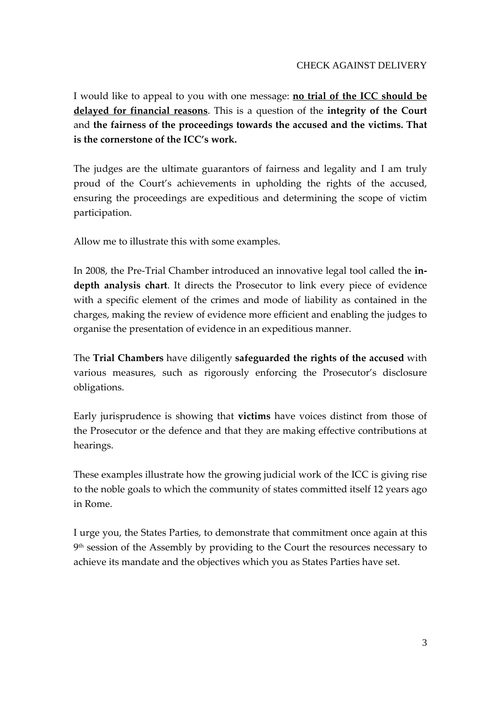I would like to appeal to you with one message: **no trial of the ICC should be delayed for financial reasons**. This is a question of the **integrity of the Court** and **the fairness of the proceedings towards the accused and the victims. That is the cornerstone of the ICC's work.**

The judges are the ultimate guarantors of fairness and legality and I am truly proud of the Court's achievements in upholding the rights of the accused, ensuring the proceedings are expeditious and determining the scope of victim participation.

Allow me to illustrate this with some examples.

In 2008, the Pre‐Trial Chamber introduced an innovative legal tool called the **in‐ depth analysis chart**. It directs the Prosecutor to link every piece of evidence with a specific element of the crimes and mode of liability as contained in the charges, making the review of evidence more efficient and enabling the judges to organise the presentation of evidence in an expeditious manner.

The **Trial Chambers** have diligently **safeguarded the rights of the accused** with various measures, such as rigorously enforcing the Prosecutor's disclosure obligations.

Early jurisprudence is showing that **victims** have voices distinct from those of the Prosecutor or the defence and that they are making effective contributions at hearings.

These examples illustrate how the growing judicial work of the ICC is giving rise to the noble goals to which the community of states committed itself 12 years ago in Rome.

I urge you, the States Parties, to demonstrate that commitment once again at this 9<sup>th</sup> session of the Assembly by providing to the Court the resources necessary to achieve its mandate and the objectives which you as States Parties have set.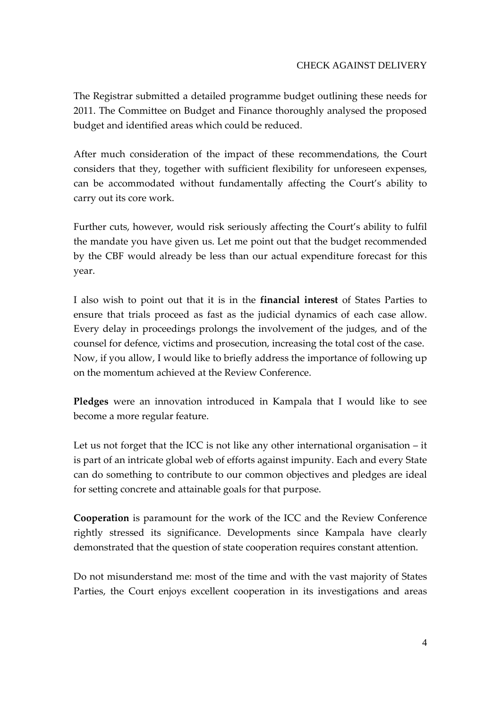The Registrar submitted a detailed programme budget outlining these needs for 2011. The Committee on Budget and Finance thoroughly analysed the proposed budget and identified areas which could be reduced.

After much consideration of the impact of these recommendations, the Court considers that they, together with sufficient flexibility for unforeseen expenses, can be accommodated without fundamentally affecting the Court's ability to carry out its core work.

Further cuts, however, would risk seriously affecting the Court's ability to fulfil the mandate you have given us. Let me point out that the budget recommended by the CBF would already be less than our actual expenditure forecast for this year.

I also wish to point out that it is in the **financial interest** of States Parties to ensure that trials proceed as fast as the judicial dynamics of each case allow. Every delay in proceedings prolongs the involvement of the judges, and of the counsel for defence, victims and prosecution, increasing the total cost of the case. Now, if you allow, I would like to briefly address the importance of following up on the momentum achieved at the Review Conference.

**Pledges** were an innovation introduced in Kampala that I would like to see become a more regular feature.

Let us not forget that the ICC is not like any other international organisation – it is part of an intricate global web of efforts against impunity. Each and every State can do something to contribute to our common objectives and pledges are ideal for setting concrete and attainable goals for that purpose.

**Cooperation** is paramount for the work of the ICC and the Review Conference rightly stressed its significance. Developments since Kampala have clearly demonstrated that the question of state cooperation requires constant attention.

Do not misunderstand me: most of the time and with the vast majority of States Parties, the Court enjoys excellent cooperation in its investigations and areas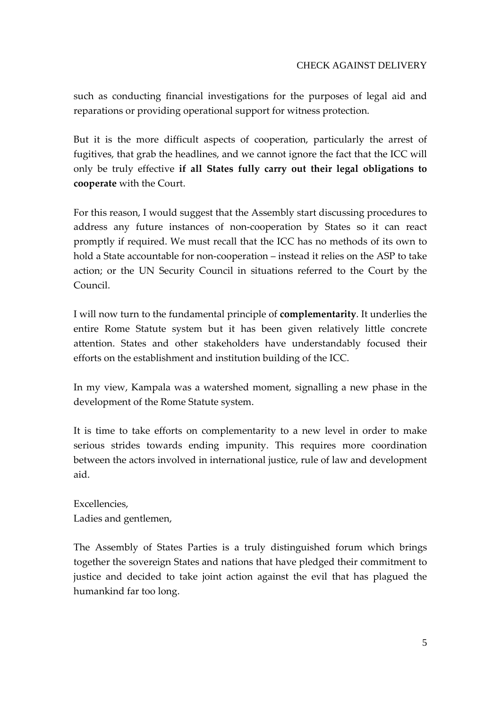## CHECK AGAINST DELIVERY

such as conducting financial investigations for the purposes of legal aid and reparations or providing operational support for witness protection.

But it is the more difficult aspects of cooperation, particularly the arrest of fugitives, that grab the headlines, and we cannot ignore the fact that the ICC will only be truly effective **if all States fully carry out their legal obligations to cooperate** with the Court.

For this reason, I would suggest that the Assembly start discussing procedures to address any future instances of non‐cooperation by States so it can react promptly if required. We must recall that the ICC has no methods of its own to hold a State accountable for non‐cooperation – instead it relies on the ASP to take action; or the UN Security Council in situations referred to the Court by the Council.

I will now turn to the fundamental principle of **complementarity**. It underlies the entire Rome Statute system but it has been given relatively little concrete attention. States and other stakeholders have understandably focused their efforts on the establishment and institution building of the ICC.

In my view, Kampala was a watershed moment, signalling a new phase in the development of the Rome Statute system.

It is time to take efforts on complementarity to a new level in order to make serious strides towards ending impunity. This requires more coordination between the actors involved in international justice, rule of law and development aid.

Excellencies, Ladies and gentlemen,

The Assembly of States Parties is a truly distinguished forum which brings together the sovereign States and nations that have pledged their commitment to justice and decided to take joint action against the evil that has plagued the humankind far too long.